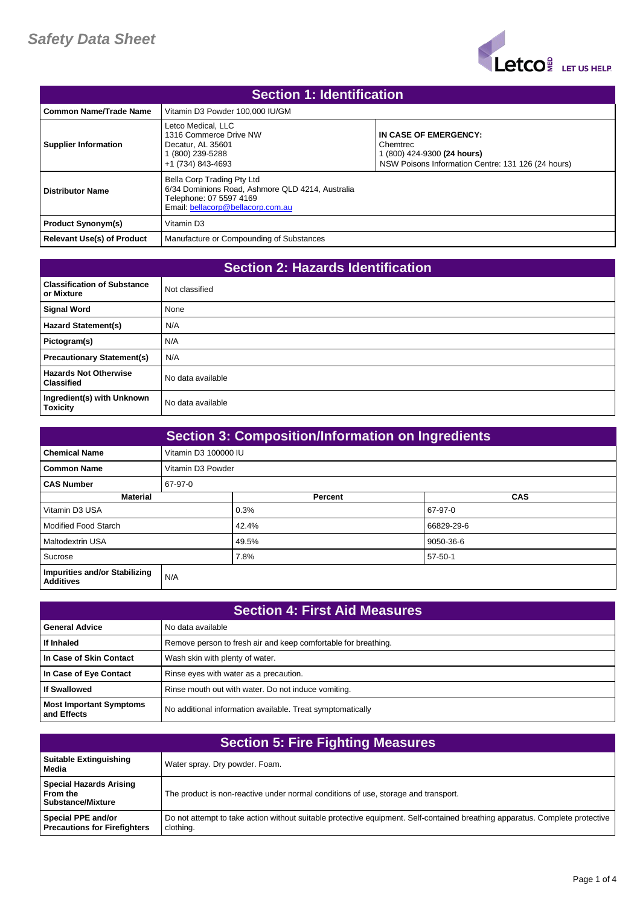

| <b>Section 1: Identification</b>  |                                                                                                                                                |                                                                                                                        |
|-----------------------------------|------------------------------------------------------------------------------------------------------------------------------------------------|------------------------------------------------------------------------------------------------------------------------|
| <b>Common Name/Trade Name</b>     | Vitamin D3 Powder 100,000 IU/GM                                                                                                                |                                                                                                                        |
| <b>Supplier Information</b>       | Letco Medical, LLC<br>1316 Commerce Drive NW<br>Decatur, AL 35601<br>(800) 239-5288<br>+1 (734) 843-4693                                       | IN CASE OF EMERGENCY:<br>Chemtrec<br>1 (800) 424-9300 (24 hours)<br>NSW Poisons Information Centre: 131 126 (24 hours) |
| <b>Distributor Name</b>           | Bella Corp Trading Pty Ltd<br>6/34 Dominions Road, Ashmore QLD 4214, Australia<br>Telephone: 07 5597 4169<br>Email: bellacorp@bellacorp.com.au |                                                                                                                        |
| <b>Product Synonym(s)</b>         | Vitamin D3                                                                                                                                     |                                                                                                                        |
| <b>Relevant Use(s) of Product</b> | Manufacture or Compounding of Substances                                                                                                       |                                                                                                                        |

| <b>Section 2: Hazards Identification</b>          |                   |  |
|---------------------------------------------------|-------------------|--|
| <b>Classification of Substance</b><br>or Mixture  | Not classified    |  |
| <b>Signal Word</b>                                | None              |  |
| <b>Hazard Statement(s)</b>                        | N/A               |  |
| Pictogram(s)                                      | N/A               |  |
| <b>Precautionary Statement(s)</b>                 | N/A               |  |
| <b>Hazards Not Otherwise</b><br><b>Classified</b> | No data available |  |
| Ingredient(s) with Unknown<br><b>Toxicity</b>     | No data available |  |

| <b>Section 3: Composition/Information on Ingredients</b> |                      |         |            |
|----------------------------------------------------------|----------------------|---------|------------|
| <b>Chemical Name</b>                                     | Vitamin D3 100000 IU |         |            |
| <b>Common Name</b>                                       | Vitamin D3 Powder    |         |            |
| <b>CAS Number</b>                                        | 67-97-0              |         |            |
| <b>Material</b>                                          |                      | Percent | <b>CAS</b> |
| Vitamin D3 USA                                           |                      | 0.3%    | 67-97-0    |
| Modified Food Starch                                     |                      | 42.4%   | 66829-29-6 |
| <b>Maltodextrin USA</b>                                  |                      | 49.5%   | 9050-36-6  |
| Sucrose                                                  |                      | 7.8%    | 57-50-1    |
| Impurities and/or Stabilizing<br><b>Additives</b>        | N/A                  |         |            |

| <b>Section 4: First Aid Measures</b>          |                                                                |  |
|-----------------------------------------------|----------------------------------------------------------------|--|
| <b>General Advice</b>                         | No data available                                              |  |
| If Inhaled                                    | Remove person to fresh air and keep comfortable for breathing. |  |
| In Case of Skin Contact                       | Wash skin with plenty of water.                                |  |
| In Case of Eye Contact                        | Rinse eyes with water as a precaution.                         |  |
| <b>If Swallowed</b>                           | Rinse mouth out with water. Do not induce vomiting.            |  |
| <b>Most Important Symptoms</b><br>and Effects | No additional information available. Treat symptomatically     |  |

| <b>Section 5: Fire Fighting Measures</b>                               |                                                                                                                                           |  |
|------------------------------------------------------------------------|-------------------------------------------------------------------------------------------------------------------------------------------|--|
| <b>Suitable Extinguishing</b><br>Media                                 | Water spray. Dry powder. Foam.                                                                                                            |  |
| <b>Special Hazards Arising</b><br>From the<br><b>Substance/Mixture</b> | The product is non-reactive under normal conditions of use, storage and transport.                                                        |  |
| Special PPE and/or<br><b>Precautions for Firefighters</b>              | Do not attempt to take action without suitable protective equipment. Self-contained breathing apparatus. Complete protective<br>clothing. |  |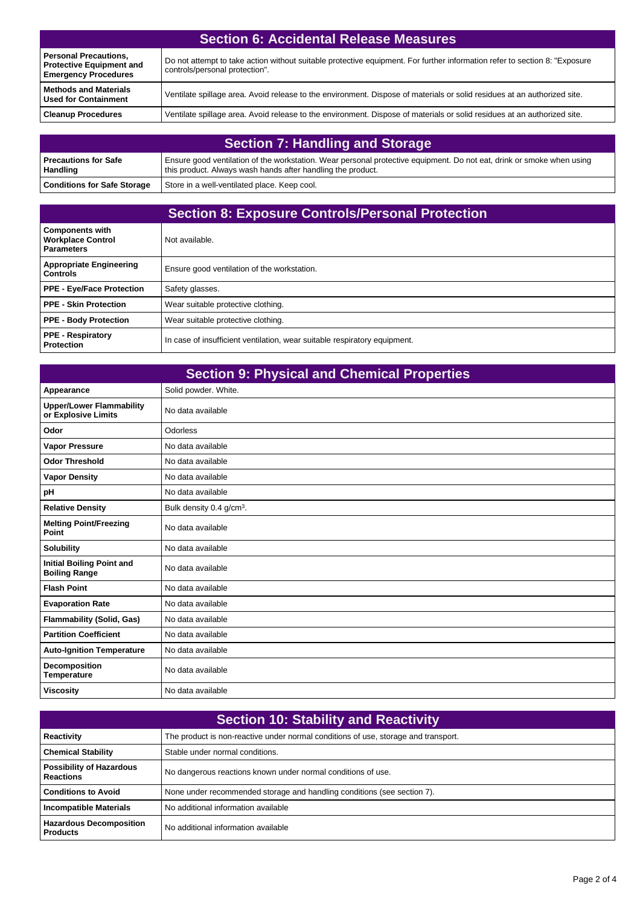| <b>Personal Precautions,</b><br><b>Protective Equipment and</b><br><b>Emergency Procedures</b> | Do not attempt to take action without suitable protective equipment. For further information refer to section 8: "Exposure<br>controls/personal protection". |
|------------------------------------------------------------------------------------------------|--------------------------------------------------------------------------------------------------------------------------------------------------------------|
| <b>Methods and Materials</b><br><b>Used for Containment</b>                                    | Ventilate spillage area. Avoid release to the environment. Dispose of materials or solid residues at an authorized site.                                     |
| <b>Cleanup Procedures</b>                                                                      | Ventilate spillage area. Avoid release to the environment. Dispose of materials or solid residues at an authorized site.                                     |

| <b>Section 7: Handling and Storage</b> |                                                                                                                                                                                      |  |
|----------------------------------------|--------------------------------------------------------------------------------------------------------------------------------------------------------------------------------------|--|
| l Precautions for Safe<br>Handling     | Ensure good ventilation of the workstation. Wear personal protective equipment. Do not eat, drink or smoke when using<br>this product. Always wash hands after handling the product. |  |
| <b>Conditions for Safe Storage</b>     | Store in a well-ventilated place. Keep cool.                                                                                                                                         |  |

## **Section 8: Exposure Controls/Personal Protection**

| <b>Components with</b><br><b>Workplace Control</b><br><b>Parameters</b> | Not available.                                                            |
|-------------------------------------------------------------------------|---------------------------------------------------------------------------|
| <b>Appropriate Engineering</b><br><b>Controls</b>                       | Ensure good ventilation of the workstation.                               |
| <b>PPE - Eye/Face Protection</b>                                        | Safety glasses.                                                           |
| PPE - Skin Protection                                                   | Wear suitable protective clothing.                                        |
| <b>PPE - Body Protection</b>                                            | Wear suitable protective clothing.                                        |
| <b>PPE - Respiratory</b><br><b>Protection</b>                           | In case of insufficient ventilation, wear suitable respiratory equipment. |

| <b>Section 9: Physical and Chemical Properties</b>       |                                      |  |
|----------------------------------------------------------|--------------------------------------|--|
| Appearance                                               | Solid powder. White.                 |  |
| <b>Upper/Lower Flammability</b><br>or Explosive Limits   | No data available                    |  |
| Odor                                                     | Odorless                             |  |
| <b>Vapor Pressure</b>                                    | No data available                    |  |
| <b>Odor Threshold</b>                                    | No data available                    |  |
| <b>Vapor Density</b>                                     | No data available                    |  |
| рH                                                       | No data available                    |  |
| <b>Relative Density</b>                                  | Bulk density 0.4 g/cm <sup>3</sup> . |  |
| <b>Melting Point/Freezing</b><br>Point                   | No data available                    |  |
| <b>Solubility</b>                                        | No data available                    |  |
| <b>Initial Boiling Point and</b><br><b>Boiling Range</b> | No data available                    |  |
| <b>Flash Point</b>                                       | No data available                    |  |
| <b>Evaporation Rate</b>                                  | No data available                    |  |
| <b>Flammability (Solid, Gas)</b>                         | No data available                    |  |
| <b>Partition Coefficient</b>                             | No data available                    |  |
| <b>Auto-Ignition Temperature</b>                         | No data available                    |  |
| <b>Decomposition</b><br><b>Temperature</b>               | No data available                    |  |
| <b>Viscosity</b>                                         | No data available                    |  |

| <b>Section 10: Stability and Reactivity</b>         |                                                                                    |  |
|-----------------------------------------------------|------------------------------------------------------------------------------------|--|
| Reactivity                                          | The product is non-reactive under normal conditions of use, storage and transport. |  |
| <b>Chemical Stability</b>                           | Stable under normal conditions.                                                    |  |
| <b>Possibility of Hazardous</b><br><b>Reactions</b> | No dangerous reactions known under normal conditions of use.                       |  |
| <b>Conditions to Avoid</b>                          | None under recommended storage and handling conditions (see section 7).            |  |
| <b>Incompatible Materials</b>                       | No additional information available                                                |  |
| <b>Hazardous Decomposition</b><br><b>Products</b>   | No additional information available                                                |  |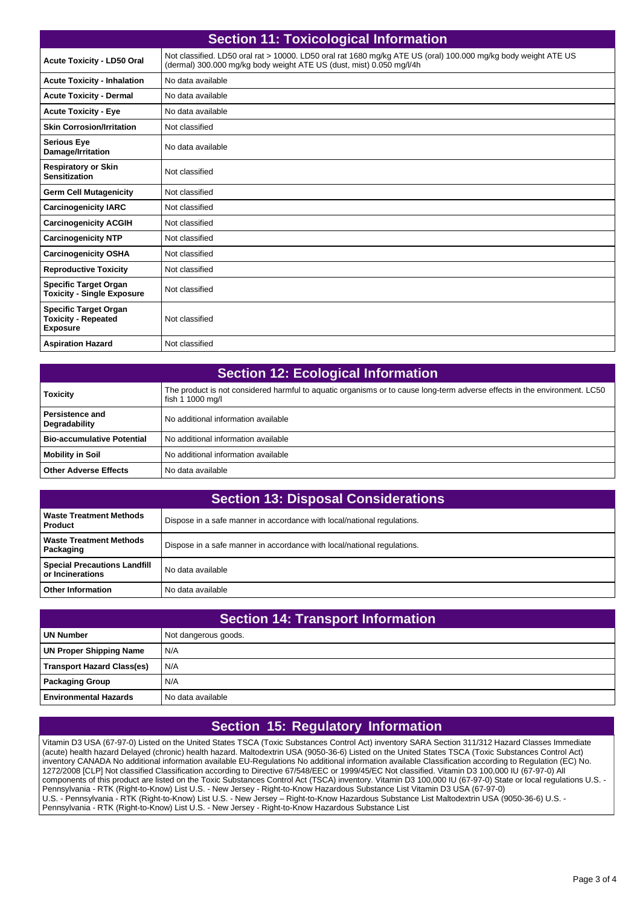| <b>Section 11: Toxicological Information</b>                                  |                                                                                                                                                                                        |  |
|-------------------------------------------------------------------------------|----------------------------------------------------------------------------------------------------------------------------------------------------------------------------------------|--|
| <b>Acute Toxicity - LD50 Oral</b>                                             | Not classified. LD50 oral rat > 10000. LD50 oral rat 1680 mg/kg ATE US (oral) 100.000 mg/kg body weight ATE US<br>(dermal) 300.000 mg/kg body weight ATE US (dust, mist) 0.050 mg/l/4h |  |
| <b>Acute Toxicity - Inhalation</b>                                            | No data available                                                                                                                                                                      |  |
| <b>Acute Toxicity - Dermal</b>                                                | No data available                                                                                                                                                                      |  |
| <b>Acute Toxicity - Eye</b>                                                   | No data available                                                                                                                                                                      |  |
| <b>Skin Corrosion/Irritation</b>                                              | Not classified                                                                                                                                                                         |  |
| <b>Serious Eye</b><br>Damage/Irritation                                       | No data available                                                                                                                                                                      |  |
| <b>Respiratory or Skin</b><br><b>Sensitization</b>                            | Not classified                                                                                                                                                                         |  |
| <b>Germ Cell Mutagenicity</b>                                                 | Not classified                                                                                                                                                                         |  |
| <b>Carcinogenicity IARC</b>                                                   | Not classified                                                                                                                                                                         |  |
| <b>Carcinogenicity ACGIH</b>                                                  | Not classified                                                                                                                                                                         |  |
| <b>Carcinogenicity NTP</b>                                                    | Not classified                                                                                                                                                                         |  |
| <b>Carcinogenicity OSHA</b>                                                   | Not classified                                                                                                                                                                         |  |
| <b>Reproductive Toxicity</b>                                                  | Not classified                                                                                                                                                                         |  |
| <b>Specific Target Organ</b><br><b>Toxicity - Single Exposure</b>             | Not classified                                                                                                                                                                         |  |
| <b>Specific Target Organ</b><br><b>Toxicity - Repeated</b><br><b>Exposure</b> | Not classified                                                                                                                                                                         |  |
| <b>Aspiration Hazard</b>                                                      | Not classified                                                                                                                                                                         |  |

| <b>Section 12: Ecological Information</b> |                                                                                                                                               |  |
|-------------------------------------------|-----------------------------------------------------------------------------------------------------------------------------------------------|--|
| <b>Toxicity</b>                           | The product is not considered harmful to aquatic organisms or to cause long-term adverse effects in the environment. LC50<br>fish 1 1000 mg/l |  |
| <b>Persistence and</b><br>Degradability   | No additional information available                                                                                                           |  |
| <b>Bio-accumulative Potential</b>         | No additional information available                                                                                                           |  |
| <b>Mobility in Soil</b>                   | No additional information available                                                                                                           |  |
| <b>Other Adverse Effects</b>              | No data available                                                                                                                             |  |

| <b>Section 13: Disposal Considerations</b>              |                                                                         |  |
|---------------------------------------------------------|-------------------------------------------------------------------------|--|
| <b>Waste Treatment Methods</b><br><b>Product</b>        | Dispose in a safe manner in accordance with local/national regulations. |  |
| <b>Waste Treatment Methods</b><br>Packaging             | Dispose in a safe manner in accordance with local/national regulations. |  |
| <b>Special Precautions Landfill</b><br>or Incinerations | No data available                                                       |  |
| <b>Other Information</b>                                | No data available                                                       |  |

| <b>Section 14: Transport Information</b> |                      |  |
|------------------------------------------|----------------------|--|
| <b>UN Number</b>                         | Not dangerous goods. |  |
| UN Proper Shipping Name                  | N/A                  |  |
| <b>Transport Hazard Class(es)</b>        | N/A                  |  |
| <b>Packaging Group</b>                   | N/A                  |  |
| l Environmental Hazards                  | l No data available  |  |

## **Section 15: Regulatory Information**

Vitamin D3 USA (67-97-0) Listed on the United States TSCA (Toxic Substances Control Act) inventory SARA Section 311/312 Hazard Classes Immediate (acute) health hazard Delayed (chronic) health hazard. Maltodextrin USA (9050-36-6) Listed on the United States TSCA (Toxic Substances Control Act) inventory CANADA No additional information available EU-Regulations No additional information available Classification according to Regulation (EC) No. 1272/2008 [CLP] Not classified Classification according to Directive 67/548/EEC or 1999/45/EC Not classified. Vitamin D3 100,000 IU (67-97-0) All components of this product are listed on the Toxic Substances Control Act (TSCA) inventory. Vitamin D3 100,000 IU (67-97-0) State or local regulations U.S. - Pennsylvania - RTK (Right-to-Know) List U.S. - New Jersey - Right-to-Know Hazardous Substance List Vitamin D3 USA (67-97-0) U.S. - Pennsylvania - RTK (Right-to-Know) List U.S. - New Jersey – Right-to-Know Hazardous Substance List Maltodextrin USA (9050-36-6) U.S. - Pennsylvania - RTK (Right-to-Know) List U.S. - New Jersey - Right-to-Know Hazardous Substance List